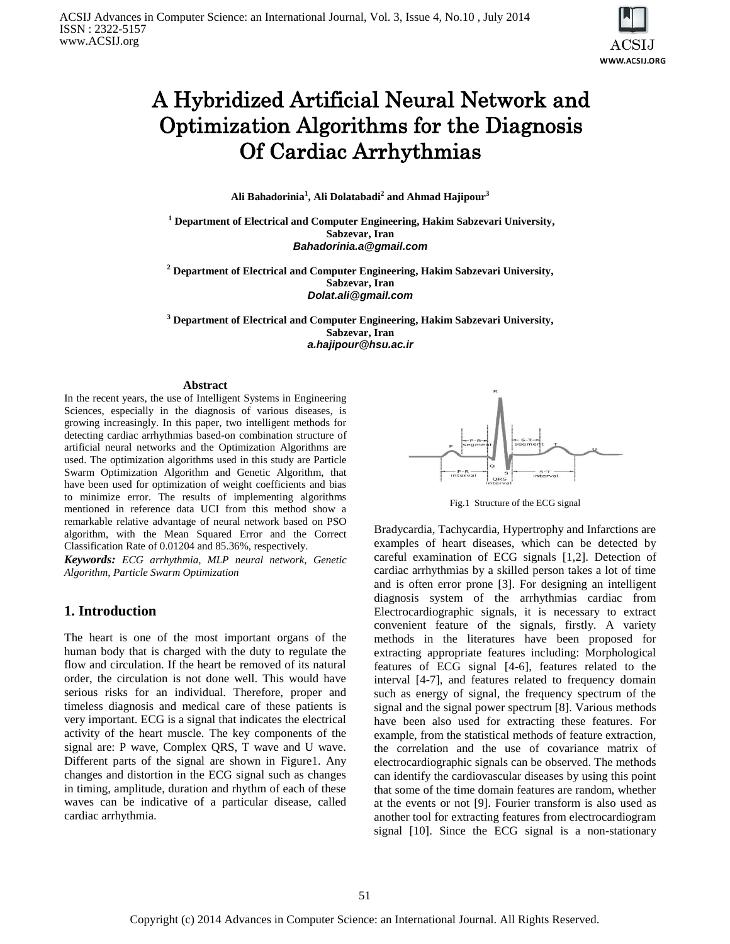

# [A Hybridized](https://www.google.com/url?sa=t&rct=j&q=&esrc=s&source=web&cd=3&cad=rja&uact=8&ved=0CDsQFjAC&url=http%3A%2F%2Fwww.sciencedirect.com%2Fscience%2Farticle%2Fpii%2FS0263224113001899&ei=91xjU9H9L-v70gWM-4CYAQ&usg=AFQjCNGCBHl5PruJHkh9G_mEUtgGZbZF5Q&bvm=bv.65788261,d.d2k) Artificial Neural Network and Optimization Algorithms for the Diagnosis Of Cardiac Arrhythmias

**Ali Bahadorinia<sup>1</sup> , Ali Dolatabadi<sup>2</sup> and Ahmad Hajipour<sup>3</sup>**

**<sup>1</sup> Department of Electrical and Computer Engineering, Hakim Sabzevari University, Sabzevar, Iran** *Bahadorinia.a@gmail.com*

**<sup>2</sup> Department of Electrical and Computer Engineering, Hakim Sabzevari University, Sabzevar, Iran** *Dolat.ali@gmail.com*

**<sup>3</sup> Department of Electrical and Computer Engineering, Hakim Sabzevari University, Sabzevar, Iran** *a.hajipour@hsu.ac.ir*

#### **Abstract**

In the recent years, the use of Intelligent Systems in Engineering Sciences, especially in the diagnosis of various diseases, is growing increasingly. In this paper, two intelligent methods for detecting cardiac arrhythmias based-on combination structure of artificial neural networks and the Optimization Algorithms are used. The optimization algorithms used in this study are Particle Swarm Optimization Algorithm and Genetic Algorithm, that have been used for optimization of weight coefficients and bias to minimize error. The results of implementing algorithms mentioned in reference data UCI from this method show a remarkable relative advantage of neural network based on PSO algorithm, with the Mean Squared Error and the Correct Classification Rate of 0.01204 and 85.36%, respectively.

*Keywords: ECG arrhythmia, MLP neural network, Genetic Algorithm, Particle Swarm Optimization*

### **1. Introduction**

The heart is one of the most important organs of the human body that is charged with the duty to regulate the flow and circulation. If the heart be removed of its natural order, the circulation is not done well. This would have serious risks for an individual. Therefore, proper and timeless diagnosis and medical care of these patients is very important. ECG is a signal that indicates the electrical activity of the heart muscle. The key components of the signal are: P wave, Complex QRS, T wave and U wave. Different parts of the signal are shown in Figure1. Any changes and distortion in the ECG signal such as changes in timing, amplitude, duration and rhythm of each of these waves can be indicative of a particular disease, called cardiac arrhythmia.



Fig.1 Structure of the ECG signal

Bradycardia, Tachycardia, Hypertrophy and Infarctions are examples of heart diseases, which can be detected by careful examination of ECG signals [1,2]. Detection of cardiac arrhythmias by a skilled person takes a lot of time and is often error prone [3]. For designing an intelligent diagnosis system of the arrhythmias cardiac from Electrocardiographic signals, it is necessary to extract convenient feature of the signals, firstly. A variety methods in the literatures have been proposed for extracting appropriate features including: Morphological features of ECG signal [4-6], features related to the interval [4-7], and features related to frequency domain such as energy of signal, the frequency spectrum of the signal and the signal power spectrum [8]. Various methods have been also used for extracting these features. For example, from the statistical methods of feature extraction, the correlation and the use of covariance matrix of electrocardiographic signals can be observed. The methods can identify the cardiovascular diseases by using this point that some of the time domain features are random, whether at the events or not [9]. Fourier transform is also used as another tool for extracting features from electrocardiogram signal [10]. Since the ECG signal is a non-stationary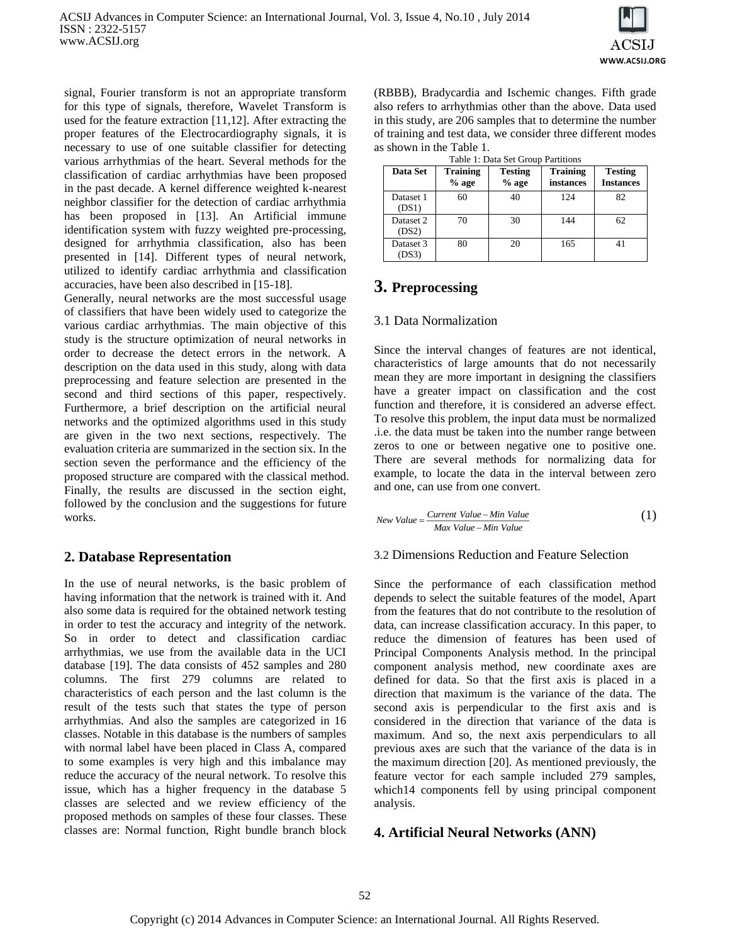

signal, Fourier transform is not an appropriate transform for this type of signals, therefore, Wavelet Transform is used for the feature extraction [11,12]. After extracting the proper features of the Electrocardiography signals, it is necessary to use of one suitable classifier for detecting various arrhythmias of the heart. Several methods for the classification of cardiac arrhythmias have been proposed in the past decade. A kernel difference weighted k-nearest neighbor classifier for the detection of cardiac arrhythmia has been proposed in [13]. An Artificial immune identification system with fuzzy weighted pre-processing, designed for arrhythmia classification, also has been presented in [14]. Different types of neural network, utilized to identify cardiac arrhythmia and classification accuracies, have been also described in [15-18].

Generally, neural networks are the most successful usage of classifiers that have been widely used to categorize the various cardiac arrhythmias. The main objective of this study is the structure optimization of neural networks in order to decrease the detect errors in the network. A description on the data used in this study, along with data preprocessing and feature selection are presented in the second and third sections of this paper, respectively. Furthermore, a brief description on the artificial neural networks and the optimized algorithms used in this study are given in the two next sections, respectively. The evaluation criteria are summarized in the section six. In the section seven the performance and the efficiency of the proposed structure are compared with the classical method. Finally, the results are discussed in the section eight, followed by the conclusion and the suggestions for future works.

### **2. Database Representation**

In the use of neural networks, is the basic problem of having information that the network is trained with it. And also some data is required for the obtained network testing in order to test the accuracy and integrity of the network. So in order to detect and classification cardiac arrhythmias, we use from the available data in the UCI database [19]. The data consists of 452 samples and 280 columns. The first 279 columns are related to characteristics of each person and the last column is the result of the tests such that states the type of person arrhythmias. And also the samples are categorized in 16 classes. Notable in this database is the numbers of samples with normal label have been placed in Class A, compared to some examples is very high and this imbalance may reduce the accuracy of the neural network. To resolve this issue, which has a higher frequency in the database 5 classes are selected and we review efficiency of the proposed methods on samples of these four classes. These classes are: Normal function, Right bundle branch block

(RBBB), Bradycardia and Ischemic changes. Fifth grade also refers to arrhythmias other than the above. Data used in this study, are 206 samples that to determine the number of training and test data, we consider three different modes as shown in the Table 1.

| Data Set           | <b>Training</b><br>$%$ age | <b>Testing</b><br>$%$ age | <b>Training</b><br>instances | <b>Testing</b><br><b>Instances</b> |
|--------------------|----------------------------|---------------------------|------------------------------|------------------------------------|
| Dataset 1<br>(DS1) | 60                         | 40                        | 124                          | 82                                 |
| Dataset 2<br>(DS2) | 70                         | 30                        | 144                          | 62                                 |
| Dataset 3<br>(DS3) | 80                         | 20                        | 165                          |                                    |

Table 1: Data Set Group Partitions

## **3. Preprocessing**

### 3.1 Data Normalization

Since the interval changes of features are not identical, characteristics of large amounts that do not necessarily mean they are more important in designing the classifiers have a greater impact on classification and the cost function and therefore, it is considered an adverse effect. To resolve this problem, the input data must be normalized .i.e. the data must be taken into the number range between zeros to one or between negative one to positive one. There are several methods for normalizing data for example, to locate the data in the interval between zero and one, can use from one convert.

$$
New Value = \frac{Current Value - Min Value}{Max Value - Min Value}
$$
 (1)

### 3.2 Dimensions Reduction and Feature Selection

Since the performance of each classification method depends to select the suitable features of the model, Apart from the features that do not contribute to the resolution of data, can increase classification accuracy. In this paper, to reduce the dimension of features has been used of Principal Components Analysis method. In the principal component analysis method, new coordinate axes are defined for data. So that the first axis is placed in a direction that maximum is the variance of the data. The second axis is perpendicular to the first axis and is considered in the direction that variance of the data is maximum. And so, the next axis perpendiculars to all previous axes are such that the variance of the data is in the maximum direction [20]. As mentioned previously, the feature vector for each sample included 279 samples, which14 components fell by using principal component analysis.

### **4. Artificial Neural Networks (ANN)**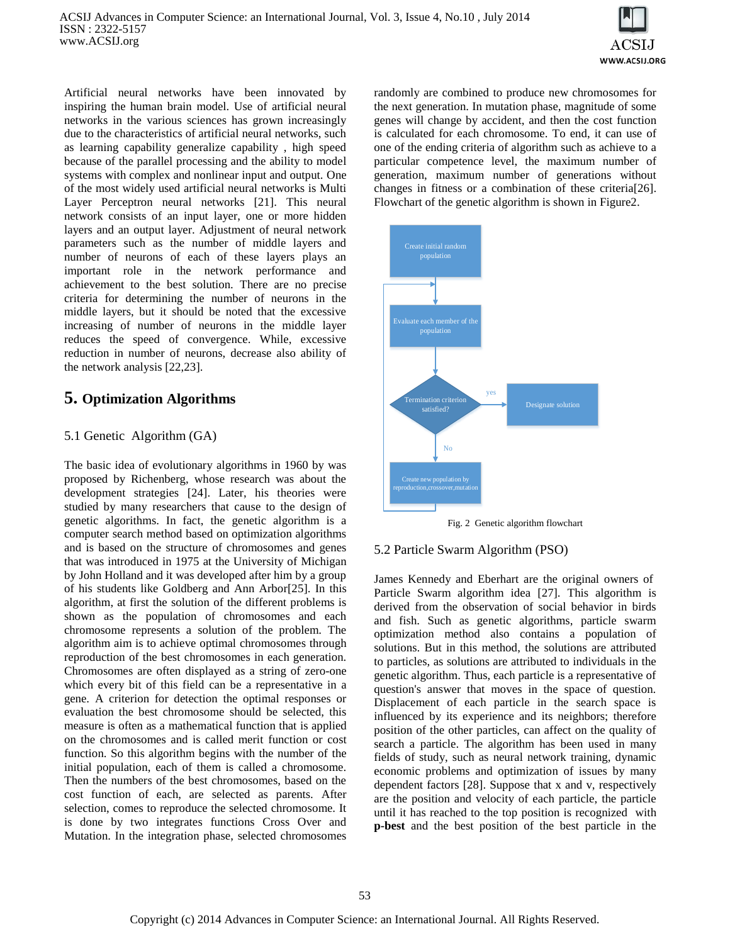

Artificial neural networks have been innovated by inspiring the human brain model. Use of artificial neural networks in the various sciences has grown increasingly due to the characteristics of artificial neural networks, such as learning capability generalize capability , high speed because of the parallel processing and the ability to model systems with complex and nonlinear input and output. One of the most widely used artificial neural networks is Multi Layer Perceptron neural networks [21]. This neural network consists of an input layer, one or more hidden layers and an output layer. Adjustment of neural network parameters such as the number of middle layers and number of neurons of each of these layers plays an important role in the network performance and achievement to the best solution. There are no precise criteria for determining the number of neurons in the middle layers, but it should be noted that the excessive increasing of number of neurons in the middle layer reduces the speed of convergence. While, excessive reduction in number of neurons, decrease also ability of the network analysis [22,23].

## **5. Optimization Algorithms**

### 5.1 Genetic Algorithm (GA)

The basic idea of evolutionary algorithms in 1960 by was proposed by Richenberg, whose research was about the development strategies [24]. Later, his theories were studied by many researchers that cause to the design of genetic algorithms. In fact, the genetic algorithm is a computer search method based on optimization algorithms and is based on the structure of chromosomes and genes that was introduced in 1975 at the University of Michigan by John Holland and it was developed after him by a group of his students like Goldberg and Ann Arbor[25]. In this algorithm, at first the solution of the different problems is shown as the population of chromosomes and each chromosome represents a solution of the problem. The algorithm aim is to achieve optimal chromosomes through reproduction of the best chromosomes in each generation. Chromosomes are often displayed as a string of zero-one which every bit of this field can be a representative in a gene. A criterion for detection the optimal responses or evaluation the best chromosome should be selected, this measure is often as a mathematical function that is applied on the chromosomes and is called merit function or cost function. So this algorithm begins with the number of the initial population, each of them is called a chromosome. Then the numbers of the best chromosomes, based on the cost function of each, are selected as parents. After selection, comes to reproduce the selected chromosome. It is done by two integrates functions Cross Over and Mutation. In the integration phase, selected chromosomes

randomly are combined to produce new chromosomes for the next generation. In mutation phase, magnitude of some genes will change by accident, and then the cost function is calculated for each chromosome. To end, it can use of one of the ending criteria of algorithm such as achieve to a particular competence level, the maximum number of generation, maximum number of generations without changes in fitness or a combination of these criteria[26]. Flowchart of the genetic algorithm is shown in Figure2.



Fig. 2 Genetic algorithm flowchart

### 5.2 Particle Swarm Algorithm (PSO)

James Kennedy and Eberhart are the original owners of Particle Swarm algorithm idea [27]. This algorithm is derived from the observation of social behavior in birds and fish. Such as genetic algorithms, particle swarm optimization method also contains a population of solutions. But in this method, the solutions are attributed to particles, as solutions are attributed to individuals in the genetic algorithm. Thus, each particle is a representative of question's answer that moves in the space of question. Displacement of each particle in the search space is influenced by its experience and its neighbors; therefore position of the other particles, can affect on the quality of search a particle. The algorithm has been used in many fields of study, such as neural network training, dynamic economic problems and optimization of issues by many dependent factors [28]. Suppose that x and v, respectively are the position and velocity of each particle, the particle until it has reached to the top position is recognized with **p-best** and the best position of the best particle in the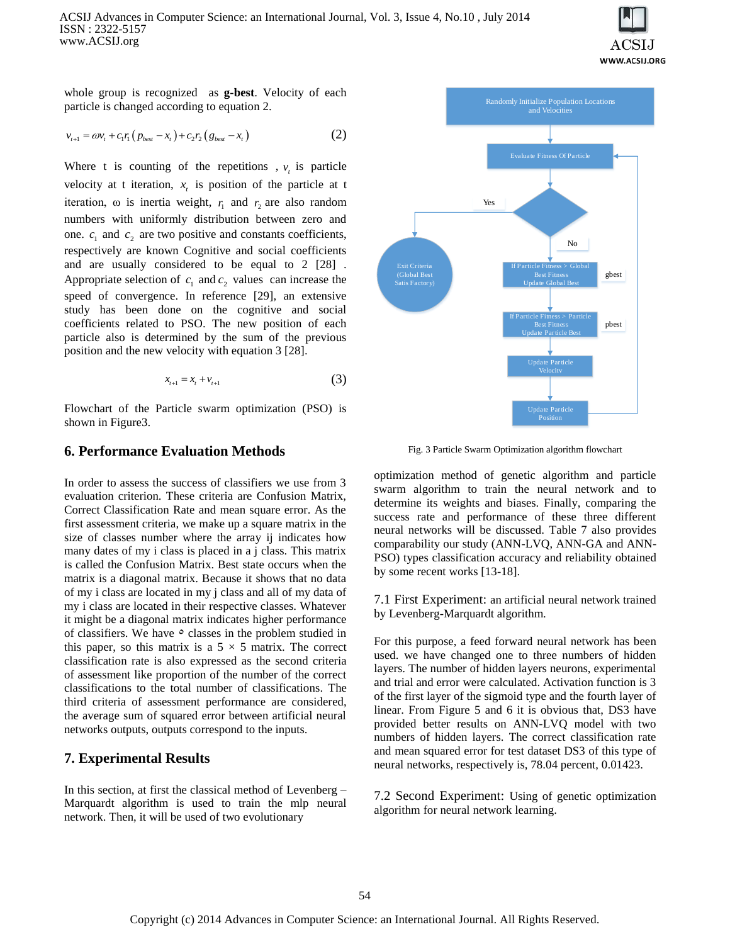

whole group is recognized as **g-best**. Velocity of each particle is changed according to equation 2.

$$
v_{t+1} = \omega v_t + c_1 r_1 (p_{best} - x_t) + c_2 r_2 (g_{best} - x_t)
$$
 (2)

Where t is counting of the repetitions ,  $v_t$  is particle velocity at t iteration,  $x<sub>t</sub>$  is position of the particle at t iteration,  $\omega$  is inertia weight,  $r_1$  and  $r_2$  are also random numbers with uniformly distribution between zero and one.  $c_1$  and  $c_2$  are two positive and constants coefficients, respectively are known Cognitive and social coefficients and are usually considered to be equal to 2 [28] . Appropriate selection of  $c_1$  and  $c_2$  values can increase the speed of convergence. In reference [29], an extensive study has been done on the cognitive and social coefficients related to PSO. The new position of each particle also is determined by the sum of the previous position and the new velocity with equation 3 [28].

$$
x_{t+1} = x_t + v_{t+1} \tag{3}
$$

Flowchart of the Particle swarm optimization (PSO) is shown in Figure3.

### **6. Performance Evaluation Methods**

In order to assess the success of classifiers we use from 3 evaluation criterion. These criteria are Confusion Matrix, Correct Classification Rate and mean square error. As the first assessment criteria, we make up a square matrix in the size of classes number where the array ij indicates how many dates of my i class is placed in a j class. This matrix is called the Confusion Matrix. Best state occurs when the matrix is a diagonal matrix. Because it shows that no data of my i class are located in my j class and all of my data of my i class are located in their respective classes. Whatever it might be a diagonal matrix indicates higher performance of classifiers. We have  $\circ$  classes in the problem studied in this paper, so this matrix is a  $5 \times 5$  matrix. The correct classification rate is also expressed as the second criteria of assessment like proportion of the number of the correct classifications to the total number of classifications. The third criteria of assessment performance are considered, the average sum of squared error between artificial neural networks outputs, outputs correspond to the inputs.

### **7. Experimental Results**

In this section, at first the classical method of Levenberg – Marquardt algorithm is used to train the mlp neural network. Then, it will be used of two evolutionary



Fig. 3 Particle Swarm Optimization algorithm flowchart

optimization method of genetic algorithm and particle swarm algorithm to train the neural network and to determine its weights and biases. Finally, comparing the success rate and performance of these three different neural networks will be discussed. Table 7 also provides comparability our study (ANN-LVQ, ANN-GA and ANN-PSO) types classification accuracy and reliability obtained by some recent works [13-18].

7.1 First Experiment: an artificial neural network trained by Levenberg-Marquardt algorithm.

For this purpose, a feed forward neural network has been used. we have changed one to three numbers of hidden layers. The number of hidden layers neurons, experimental and trial and error were calculated. Activation function is 3 of the first layer of the sigmoid type and the fourth layer of linear. From Figure 5 and 6 it is obvious that, DS3 have provided better results on ANN-LVQ model with two numbers of hidden layers. The correct classification rate and mean squared error for test dataset DS3 of this type of neural networks, respectively is, 78.04 percent, 0.01423.

7.2 Second Experiment: Using of genetic optimization algorithm for neural network learning.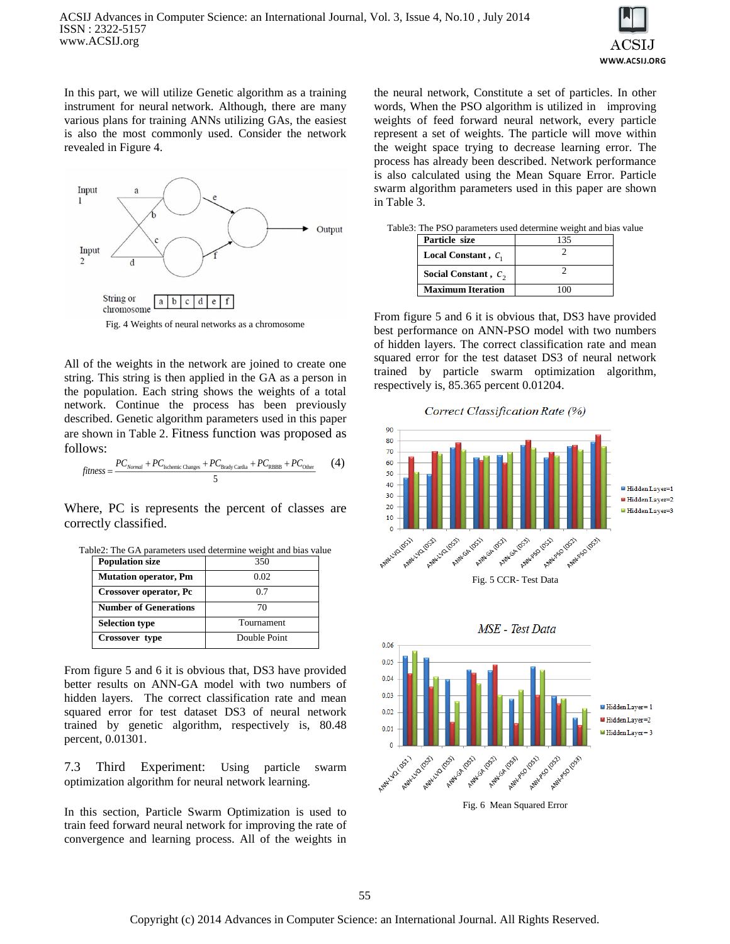

In this part, we will utilize Genetic algorithm as a training instrument for neural network. Although, there are many various plans for training ANNs utilizing GAs, the easiest is also the most commonly used. Consider the network revealed in Figure 4.



All of the weights in the network are joined to create one string. This string is then applied in the GA as a person in the population. Each string shows the weights of a total network. Continue the process has been previously described. Genetic algorithm parameters used in this paper are shown in Table 2. Fitness function was proposed as follows:

$$
fitness = \frac{PC_{Normal} + PC_{Ischemic Changes} + PC_{Brady\text{ Cardia}} + PC_{RBBB} + PC_{Other}}{5}
$$
 (4)

Where, PC is represents the percent of classes are correctly classified.

|  | Table2: The GA parameters used determine weight and bias value |  |  |  |
|--|----------------------------------------------------------------|--|--|--|
|  |                                                                |  |  |  |

| <b>Population size</b>       | 350          |
|------------------------------|--------------|
| <b>Mutation operator, Pm</b> | 0.02         |
| Crossover operator, Pc       | 0.7          |
| <b>Number of Generations</b> | 70           |
| <b>Selection type</b>        | Tournament   |
| Crossover type               | Double Point |

From figure 5 and 6 it is obvious that, DS3 have provided better results on ANN-GA model with two numbers of hidden layers. The correct classification rate and mean squared error for test dataset DS3 of neural network trained by genetic algorithm, respectively is, 80.48 percent, 0.01301.

7.3 Third Experiment: Using particle swarm optimization algorithm for neural network learning.

In this section, Particle Swarm Optimization is used to train feed forward neural network for improving the rate of convergence and learning process. All of the weights in

the neural network, Constitute a set of particles. In other words, When the PSO algorithm is utilized in improving weights of feed forward neural network, every particle represent a set of weights. The particle will move within the weight space trying to decrease learning error. The process has already been described. Network performance is also calculated using the Mean Square Error. Particle swarm algorithm parameters used in this paper are shown in Table 3.

| $\sigma$ . The FSO parameters used determine weight and plas va |     |  |
|-----------------------------------------------------------------|-----|--|
| Particle size                                                   | 135 |  |
| Local Constant, $c_1$                                           |     |  |
| Social Constant, $c_2$                                          |     |  |
| <b>Maximum Iteration</b>                                        |     |  |

|  | Table3: The PSO parameters used determine weight and bias value |  |  |  |
|--|-----------------------------------------------------------------|--|--|--|
|  |                                                                 |  |  |  |

From figure 5 and 6 it is obvious that, DS3 have provided best performance on ANN-PSO model with two numbers of hidden layers. The correct classification rate and mean squared error for the test dataset DS3 of neural network trained by particle swarm optimization algorithm, respectively is, 85.365 percent 0.01204.

Correct Classification Rate (%)



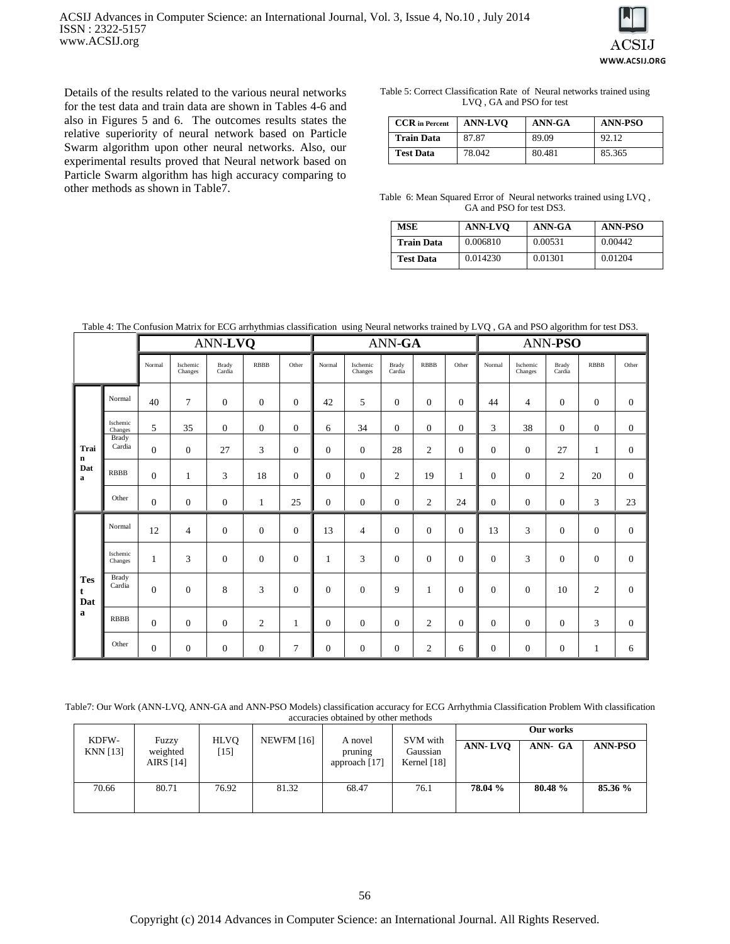

Details of the results related to the various neural networks for the test data and train data are shown in Tables 4-6 and also in Figures 5 and 6. The outcomes results states the relative superiority of neural network based on Particle Swarm algorithm upon other neural networks. Also, our experimental results proved that Neural network based on Particle Swarm algorithm has high accuracy comparing to other methods as shown in Table7.

Table 5: Correct Classification Rate of Neural networks trained using LVQ , GA and PSO for test

| <b>CCR</b> in Percent | <b>ANN-LVO</b> | ANN-GA | <b>ANN-PSO</b> |
|-----------------------|----------------|--------|----------------|
| <b>Train Data</b>     | 87.87          | 89.09  | 92.12          |
| <b>Test Data</b>      | 78.042         | 80.481 | 85.365         |

Table 6: Mean Squared Error of Neural networks trained using LVQ , GA and PSO for test DS3.

| <b>MSE</b>       | <b>ANN-LVO</b> | ANN-GA  | <b>ANN-PSO</b> |
|------------------|----------------|---------|----------------|
| Train Data       | 0.006810       | 0.00531 | 0.00442        |
| <b>Test Data</b> | 0.014230       | 0.01301 | 0.01204        |

Table 4: The Confusion Matrix for ECG arrhythmias classification using Neural networks trained by LVQ , GA and PSO algorithm for test DS3.

|                        |                        | ANN-LVQ          |                     |                  |                  | ANN-GA           |                |                     |                  | ANN-PSO        |                  |                  |                     |                 |                |                |
|------------------------|------------------------|------------------|---------------------|------------------|------------------|------------------|----------------|---------------------|------------------|----------------|------------------|------------------|---------------------|-----------------|----------------|----------------|
|                        |                        | Normal           | Ischemic<br>Changes | Brady<br>Cardia  | <b>RBBB</b>      | Other            | Normal         | Ischemic<br>Changes | Brady<br>Cardia  | <b>RBBB</b>    | Other            | Normal           | Ischemic<br>Changes | Brady<br>Cardia | <b>RBBB</b>    | Other          |
|                        | Normal                 | 40               | $\tau$              | $\overline{0}$   | $\mathbf{0}$     | $\Omega$         | 42             | 5                   | $\boldsymbol{0}$ | $\mathbf{0}$   | $\mathbf{0}$     | 44               | 4                   | $\overline{0}$  | $\mathbf{0}$   | $\mathbf{0}$   |
|                        | Ischemic<br>Changes    | 5                | 35                  | $\mathbf{0}$     | $\boldsymbol{0}$ | $\boldsymbol{0}$ | 6              | 34                  | $\boldsymbol{0}$ | $\mathbf{0}$   | $\boldsymbol{0}$ | 3                | 38                  | $\mathbf{0}$    | $\mathbf{0}$   | $\mathbf{0}$   |
| Trai<br>$\bf n$        | <b>Brady</b><br>Cardia | $\boldsymbol{0}$ | $\overline{0}$      | 27               | 3                | $\mathbf{0}$     | $\overline{0}$ | $\boldsymbol{0}$    | 28               | $\mathfrak{2}$ | $\mathbf{0}$     | $\mathbf{0}$     | $\mathbf{0}$        | 27              | $\mathbf{1}$   | $\overline{0}$ |
| Dat<br>$\mathbf a$     | <b>RBBB</b>            | $\overline{0}$   | 1                   | 3                | 18               | $\overline{0}$   | $\overline{0}$ | $\overline{0}$      | $\overline{c}$   | 19             | 1                | $\overline{0}$   | $\overline{0}$      | $\mathfrak{2}$  | 20             | $\mathbf{0}$   |
|                        | Other                  | $\boldsymbol{0}$ | $\overline{0}$      | $\overline{0}$   | $\mathbf{1}$     | 25               | $\Omega$       | $\boldsymbol{0}$    | $\boldsymbol{0}$ | $\sqrt{2}$     | 24               | $\overline{0}$   | $\overline{0}$      | $\overline{0}$  | 3              | 23             |
|                        | Normal                 | 12               | $\overline{4}$      | $\boldsymbol{0}$ | $\boldsymbol{0}$ | $\overline{0}$   | 13             | $\overline{4}$      | $\boldsymbol{0}$ | $\mathbf{0}$   | $\mathbf{0}$     | 13               | 3                   | $\mathbf{0}$    | $\mathbf{0}$   | $\mathbf{0}$   |
|                        | Ischemic<br>Changes    | 1                | 3                   | $\mathbf{0}$     | $\overline{0}$   | $\overline{0}$   | $\mathbf{1}$   | 3                   | $\overline{0}$   | $\mathbf{0}$   | $\mathbf{0}$     | $\overline{0}$   | 3                   | $\overline{0}$  | $\overline{0}$ | $\mathbf{0}$   |
| <b>Tes</b><br>t<br>Dat | <b>Brady</b><br>Cardia | $\overline{0}$   | $\overline{0}$      | 8                | 3                | $\Omega$         | $\Omega$       | $\overline{0}$      | 9                | $\mathbf{1}$   | $\overline{0}$   | $\Omega$         | $\Omega$            | 10              | $\overline{2}$ | $\mathbf{0}$   |
| a                      | <b>RBBB</b>            | $\overline{0}$   | $\overline{0}$      | $\overline{0}$   | $\overline{2}$   | 1                | $\theta$       | $\mathbf{0}$        | $\boldsymbol{0}$ | $\overline{c}$ | $\mathbf{0}$     | $\overline{0}$   | $\mathbf{0}$        | $\overline{0}$  | 3              | $\mathbf{0}$   |
|                        | Other                  | $\boldsymbol{0}$ | $\boldsymbol{0}$    | $\mathbf{0}$     | $\boldsymbol{0}$ | $\overline{7}$   | $\overline{0}$ | $\boldsymbol{0}$    | $\boldsymbol{0}$ | $\mathbf{2}$   | 6                | $\boldsymbol{0}$ | $\boldsymbol{0}$    | $\mathbf{0}$    | 1              | 6              |

Table7: Our Work (ANN-LVQ, ANN-GA and ANN-PSO Models) classification accuracy for ECG Arrhythmia Classification Problem With classification accuracies obtained by other methods

| KDFW-           |                                |                |                   |                                     |                                       |                | Our works |                |
|-----------------|--------------------------------|----------------|-------------------|-------------------------------------|---------------------------------------|----------------|-----------|----------------|
| <b>KNN</b> [13] | Fuzzy<br>weighted<br>AIRS [14] | HLVO<br>$[15]$ | <b>NEWFM</b> [16] | A novel<br>pruning<br>approach [17] | SVM with<br>Gaussian<br>Kernel $[18]$ | <b>ANN-LVO</b> | ANN- GA   | <b>ANN-PSO</b> |
| 70.66           | 80.71                          | 76.92          | 81.32             | 68.47                               | 76.1                                  | 78.04 %        | 80.48 %   | 85.36 %        |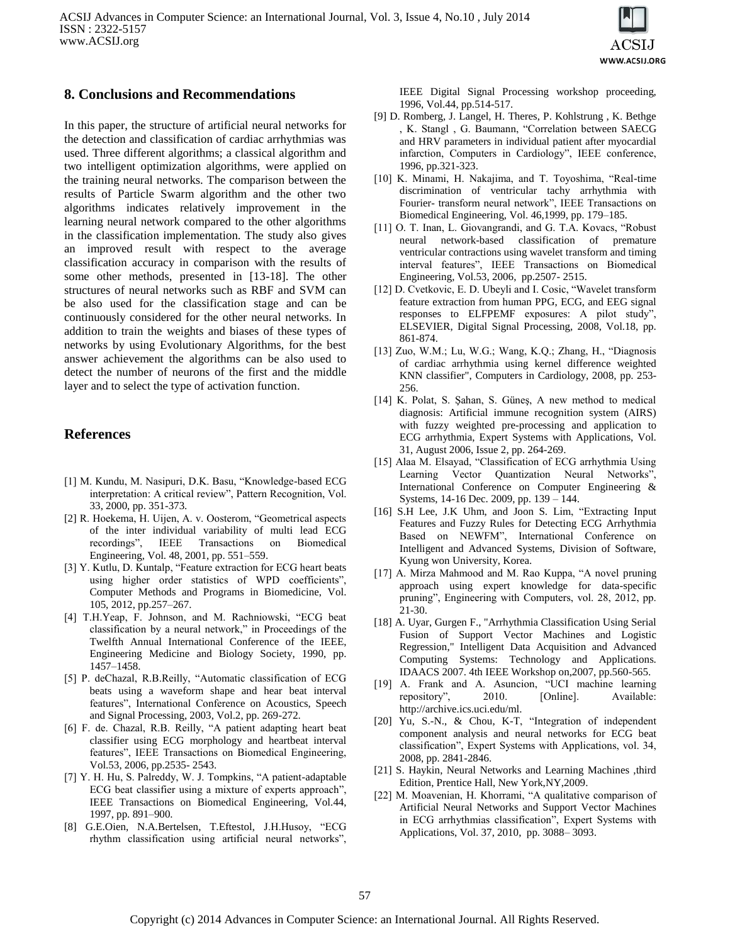

### **8. Conclusions and Recommendations**

In this paper, the structure of artificial neural networks for the detection and classification of cardiac arrhythmias was used. Three different algorithms; a classical algorithm and two intelligent optimization algorithms, were applied on the training neural networks. The comparison between the results of Particle Swarm algorithm and the other two algorithms indicates relatively improvement in the learning neural network compared to the other algorithms in the classification implementation. The study also gives an improved result with respect to the average classification accuracy in comparison with the results of some other methods, presented in [13-18]. The other structures of neural networks such as RBF and SVM can be also used for the classification stage and can be continuously considered for the other neural networks. In addition to train the weights and biases of these types of networks by using Evolutionary Algorithms, for the best answer achievement the algorithms can be also used to detect the number of neurons of the first and the middle layer and to select the type of activation function.

### **References**

- [1] M. Kundu, M. Nasipuri, D.K. Basu, "Knowledge-based ECG interpretation: A critical review", Pattern Recognition, Vol. 33, 2000, pp. 351-373.
- [2] R. Hoekema, H. Uijen, A. v. Oosterom, "Geometrical aspects of the inter individual variability of multi lead ECG recordings", IEEE Transactions on Biomedical Engineering, Vol. 48, 2001, pp. 551–559.
- [3] Y. Kutlu, D. Kuntalp, "Feature extraction for ECG heart beats using higher order statistics of WPD coefficients", Computer Methods and Programs in Biomedicine, Vol. 105, 2012, pp.257–267.
- [4] T.H.Yeap, F. Johnson, and M. Rachniowski, "ECG beat classification by a neural network," in Proceedings of the Twelfth Annual International Conference of the IEEE, Engineering Medicine and Biology Society, 1990, pp. 1457–1458.
- [5] P. deChazal, R.B.Reilly, "Automatic classification of ECG beats using a waveform shape and hear beat interval features", International Conference on Acoustics, Speech and Signal Processing, 2003, Vol.2, pp. 269-272.
- [6] F. de. Chazal, R.B. Reilly, "A patient adapting heart beat classifier using ECG morphology and heartbeat interval features", IEEE Transactions on Biomedical Engineering, Vol.53, 2006, pp.2535- 2543.
- [7] Y. H. Hu, S. Palreddy, W. J. Tompkins, "A patient-adaptable ECG beat classifier using a mixture of experts approach", IEEE Transactions on Biomedical Engineering, Vol.44, 1997, pp. 891–900.
- [8] G.E.Oien, N.A.Bertelsen, T.Eftestol, J.H.Husoy, "ECG rhythm classification using artificial neural networks",

IEEE Digital Signal Processing workshop proceeding, 1996, Vol.44, pp.514-517.

- [9] D. Romberg, J. Langel, H. Theres, P. Kohlstrung , K. Bethge , K. Stangl , G. Baumann, "Correlation between SAECG and HRV parameters in individual patient after myocardial infarction, Computers in Cardiology", IEEE conference, 1996, pp.321-323.
- [10] K. Minami, H. Nakajima, and T. Toyoshima, "Real-time discrimination of ventricular tachy arrhythmia with Fourier- transform neural network", IEEE Transactions on Biomedical Engineering, Vol. 46,1999, pp. 179–185.
- [11] O. T. Inan, L. Giovangrandi, and G. T.A. Kovacs, "Robust neural network-based classification of premature ventricular contractions using wavelet transform and timing interval features", IEEE Transactions on Biomedical Engineering, Vol.53, 2006, pp.2507- 2515.
- [12] D. Cvetkovic, E. D. Ubeyli and I. Cosic, "Wavelet transform feature extraction from human PPG, ECG, and EEG signal responses to ELFPEMF exposures: A pilot study", ELSEVIER, Digital Signal Processing, 2008, Vol.18, pp. 861-874.
- [13] Zuo, W.M.; Lu, W.G.; Wang, K.Q.; Zhang, H., "Diagnosis of cardiac arrhythmia using kernel difference weighted KNN classifier", Computers in Cardiology, 2008, pp. 253- 256.
- [14] K. Polat, S. Şahan, S. Güneş, A new method to medical diagnosis: Artificial immune recognition system (AIRS) with fuzzy weighted pre-processing and application to ECG arrhythmia, Expert Systems with Applications, Vol. 31, August 2006, Issue 2, pp. 264-269.
- [15] Alaa M. Elsayad, "Classification of ECG arrhythmia Using Learning Vector Quantization Neural Networks", International Conference on Computer Engineering & Systems, 14-16 Dec. 2009, pp. 139 – 144.
- [16] S.H Lee, J.K Uhm, and Joon S. Lim, "Extracting Input Features and Fuzzy Rules for Detecting ECG Arrhythmia Based on NEWFM", International Conference on Intelligent and Advanced Systems, Division of Software, Kyung won University, Korea.
- [17] A. Mirza Mahmood and M. Rao Kuppa, "A novel pruning approach using expert knowledge for data-specific pruning", Engineering with Computers, vol. 28, 2012, pp. 21-30.
- [18] A. Uyar, Gurgen F., "Arrhythmia Classification Using Serial Fusion of Support Vector Machines and Logistic Regression," Intelligent Data Acquisition and Advanced Computing Systems: Technology and Applications. IDAACS 2007. 4th IEEE Workshop on,2007, pp.560-565.
- [19] A. Frank and A. Asuncion, "UCI machine learning repository", 2010. [Online]. Available: http://archive.ics.uci.edu/ml.
- [20] Yu, S.-N., & Chou, K-T, "Integration of independent component analysis and neural networks for ECG beat classification", Expert Systems with Applications, vol. 34, 2008, pp. 2841-2846.
- [21] S. Haykin, Neural Networks and Learning Machines ,third Edition, Prentice Hall, New York,NY,2009.
- [22] M. Moavenian, H. Khorrami, "A qualitative comparison of Artificial Neural Networks and Support Vector Machines in ECG arrhythmias classification", Expert Systems with Applications, Vol. 37, 2010, pp. 3088– 3093.